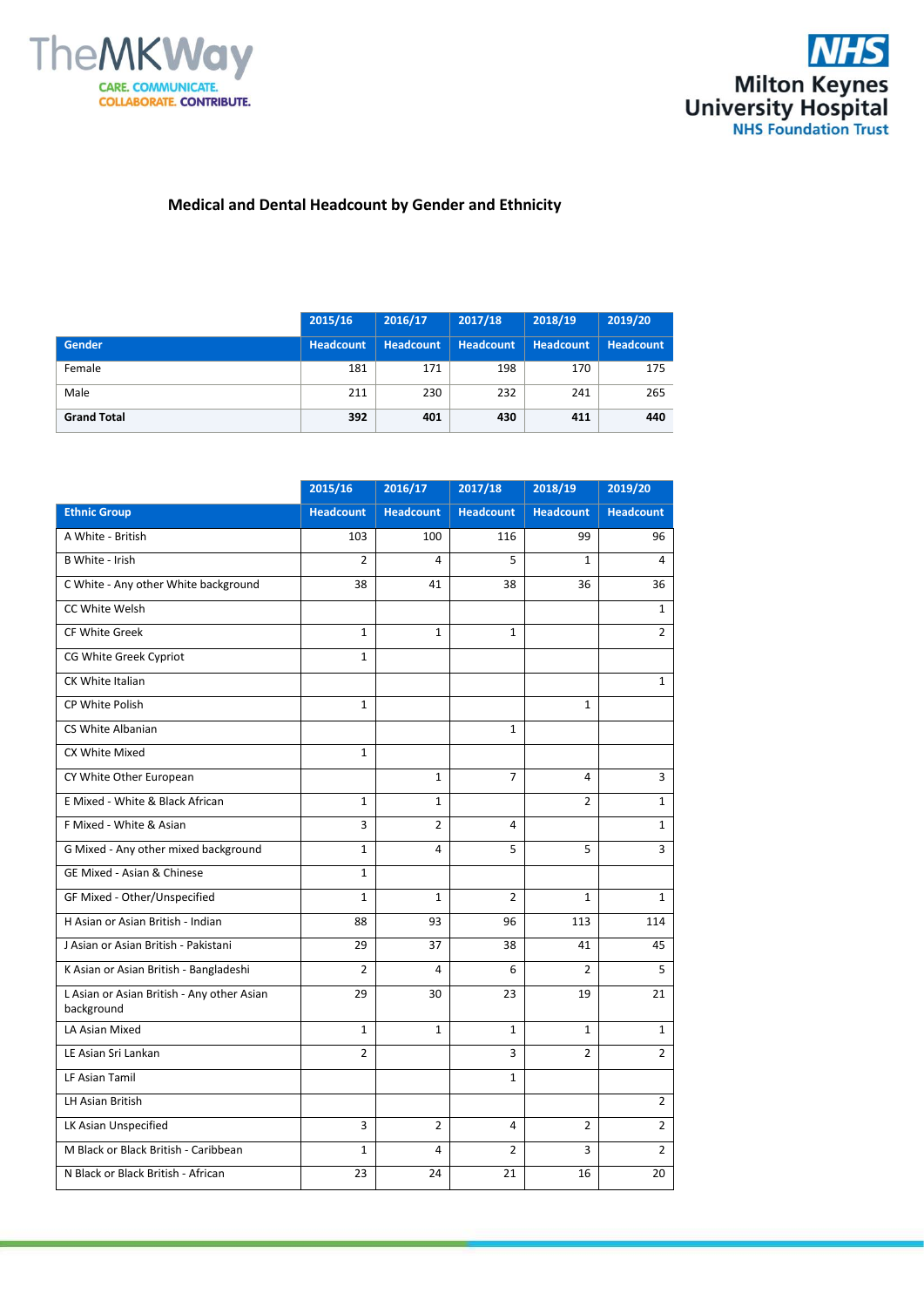



## **Medical and Dental Headcount by Gender and Ethnicity**

|                    | 2015/16   | 2016/17   | 2017/18          | 2018/19          | 2019/20          |
|--------------------|-----------|-----------|------------------|------------------|------------------|
| <b>Gender</b>      | Headcount | Headcount | <b>Headcount</b> | <b>Headcount</b> | <b>Headcount</b> |
| Female             | 181       | 171       | 198              | 170              | 175              |
| Male               | 211       | 230       | 232              | 241              | 265              |
| <b>Grand Total</b> | 392       | 401       | 430              | 411              | 440              |

|                                                          | 2015/16          | 2016/17          | 2017/18          | 2018/19          | 2019/20          |
|----------------------------------------------------------|------------------|------------------|------------------|------------------|------------------|
| <b>Ethnic Group</b>                                      | <b>Headcount</b> | <b>Headcount</b> | <b>Headcount</b> | <b>Headcount</b> | <b>Headcount</b> |
| A White - British                                        | 103              | 100              | 116              | 99               | 96               |
| <b>B White - Irish</b>                                   | $\overline{2}$   | 4                | 5                | $\mathbf{1}$     | 4                |
| C White - Any other White background                     | 38               | 41               | 38               | 36               | 36               |
| CC White Welsh                                           |                  |                  |                  |                  | $\mathbf{1}$     |
| <b>CF White Greek</b>                                    | $\mathbf{1}$     | $\mathbf{1}$     | $\mathbf{1}$     |                  | $\overline{2}$   |
| CG White Greek Cypriot                                   | $\mathbf{1}$     |                  |                  |                  |                  |
| CK White Italian                                         |                  |                  |                  |                  | $\mathbf{1}$     |
| CP White Polish                                          | $\mathbf{1}$     |                  |                  | $\mathbf{1}$     |                  |
| CS White Albanian                                        |                  |                  | $\mathbf{1}$     |                  |                  |
| CX White Mixed                                           | $\mathbf{1}$     |                  |                  |                  |                  |
| CY White Other European                                  |                  | $\mathbf{1}$     | $\overline{7}$   | 4                | 3                |
| E Mixed - White & Black African                          | $\mathbf{1}$     | $\mathbf{1}$     |                  | $\overline{2}$   | $\mathbf{1}$     |
| F Mixed - White & Asian                                  | 3                | $\overline{2}$   | 4                |                  | $\mathbf{1}$     |
| G Mixed - Any other mixed background                     | $\mathbf{1}$     | 4                | 5                | 5                | 3                |
| GE Mixed - Asian & Chinese                               | $\mathbf{1}$     |                  |                  |                  |                  |
| GF Mixed - Other/Unspecified                             | $\mathbf{1}$     | $\mathbf{1}$     | $\overline{2}$   | $\mathbf{1}$     | $\mathbf{1}$     |
| H Asian or Asian British - Indian                        | 88               | 93               | 96               | 113              | 114              |
| J Asian or Asian British - Pakistani                     | 29               | 37               | 38               | 41               | 45               |
| K Asian or Asian British - Bangladeshi                   | $\overline{2}$   | 4                | 6                | $\overline{2}$   | 5                |
| L Asian or Asian British - Any other Asian<br>background | 29               | 30               | 23               | 19               | 21               |
| LA Asian Mixed                                           | $\mathbf{1}$     | $\mathbf{1}$     | $\mathbf{1}$     | $\mathbf{1}$     | $\mathbf{1}$     |
| LE Asian Sri Lankan                                      | $\overline{2}$   |                  | 3                | $\overline{2}$   | $\overline{2}$   |
| LF Asian Tamil                                           |                  |                  | $\mathbf{1}$     |                  |                  |
| <b>LH Asian British</b>                                  |                  |                  |                  |                  | $\overline{2}$   |
| LK Asian Unspecified                                     | 3                | $\overline{2}$   | 4                | $\overline{2}$   | $\overline{2}$   |
| M Black or Black British - Caribbean                     | $\mathbf 1$      | 4                | $\overline{2}$   | 3                | $\overline{2}$   |
| N Black or Black British - African                       | 23               | 24               | 21               | 16               | 20               |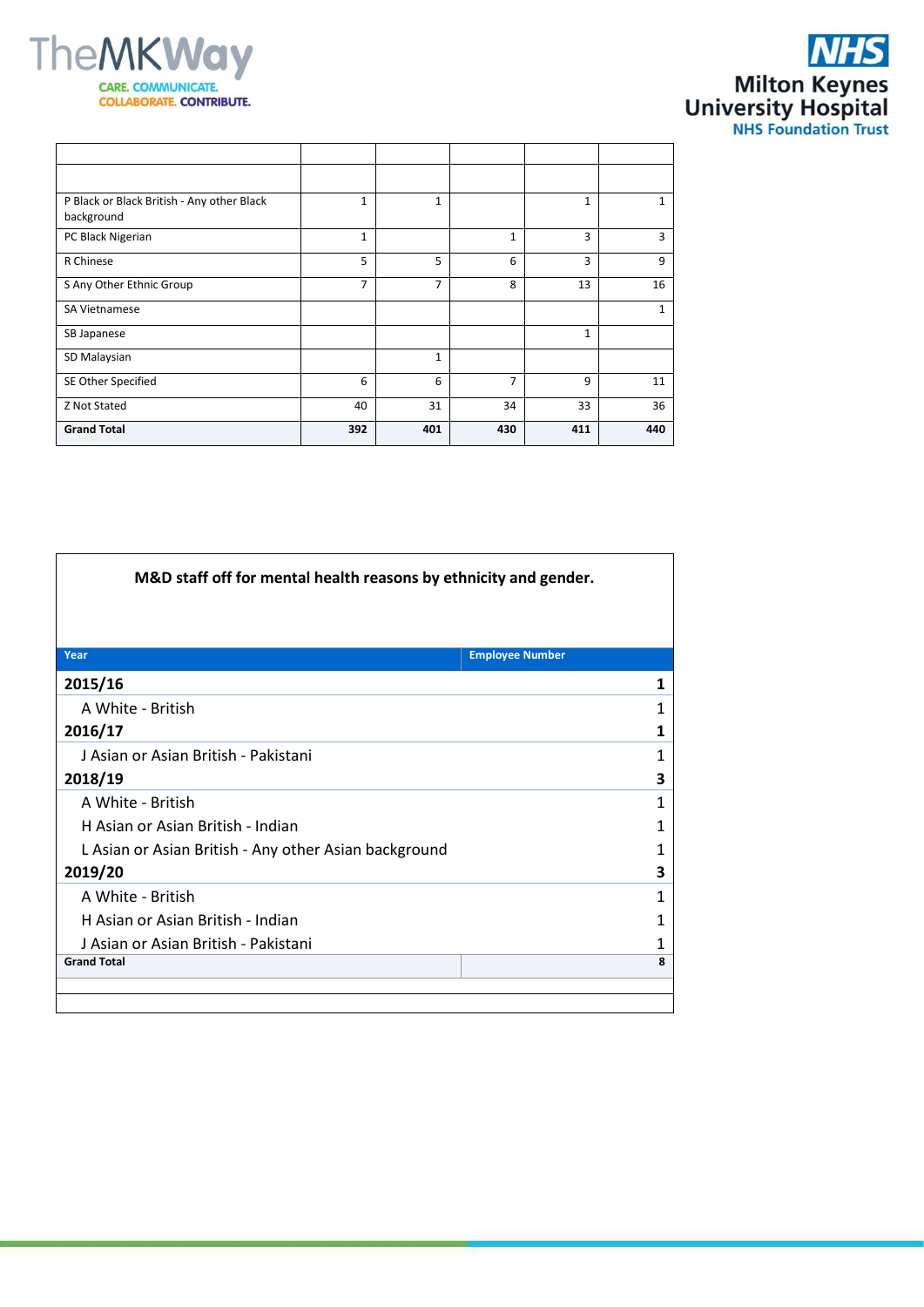



| P Black or Black British - Any other Black<br>background | $\mathbf{1}$   | $\mathbf{1}$ |                | 1            | $\mathbf{1}$ |
|----------------------------------------------------------|----------------|--------------|----------------|--------------|--------------|
| PC Black Nigerian                                        | $\mathbf{1}$   |              | 1              | 3            | 3            |
| R Chinese                                                | 5              | 5            | 6              | 3            | 9            |
| S Any Other Ethnic Group                                 | $\overline{7}$ | 7            | 8              | 13           | 16           |
| SA Vietnamese                                            |                |              |                |              | $\mathbf{1}$ |
| SB Japanese                                              |                |              |                | $\mathbf{1}$ |              |
| SD Malaysian                                             |                | $\mathbf{1}$ |                |              |              |
| SE Other Specified                                       | 6              | 6            | $\overline{7}$ | 9            | 11           |
| Z Not Stated                                             | 40             | 31           | 34             | 33           | 36           |
| <b>Grand Total</b>                                       | 392            | 401          | 430            | 411          | 440          |

| M&D staff off for mental health reasons by ethnicity and gender. |                        |  |  |  |
|------------------------------------------------------------------|------------------------|--|--|--|
|                                                                  |                        |  |  |  |
|                                                                  |                        |  |  |  |
| Year                                                             | <b>Employee Number</b> |  |  |  |
| 2015/16                                                          | 1                      |  |  |  |
| A White - British                                                | 1                      |  |  |  |
| 2016/17                                                          | 1                      |  |  |  |
| J Asian or Asian British - Pakistani                             | 1                      |  |  |  |
| 2018/19                                                          | 3                      |  |  |  |
| A White - British                                                | 1                      |  |  |  |
| H Asian or Asian British - Indian                                | 1                      |  |  |  |
| L Asian or Asian British - Any other Asian background            | 1                      |  |  |  |
| 2019/20                                                          | 3                      |  |  |  |
| A White - British                                                | 1                      |  |  |  |
| H Asian or Asian British - Indian                                | 1                      |  |  |  |
| J Asian or Asian British - Pakistani                             | 1                      |  |  |  |
| <b>Grand Total</b>                                               | 8                      |  |  |  |
|                                                                  |                        |  |  |  |